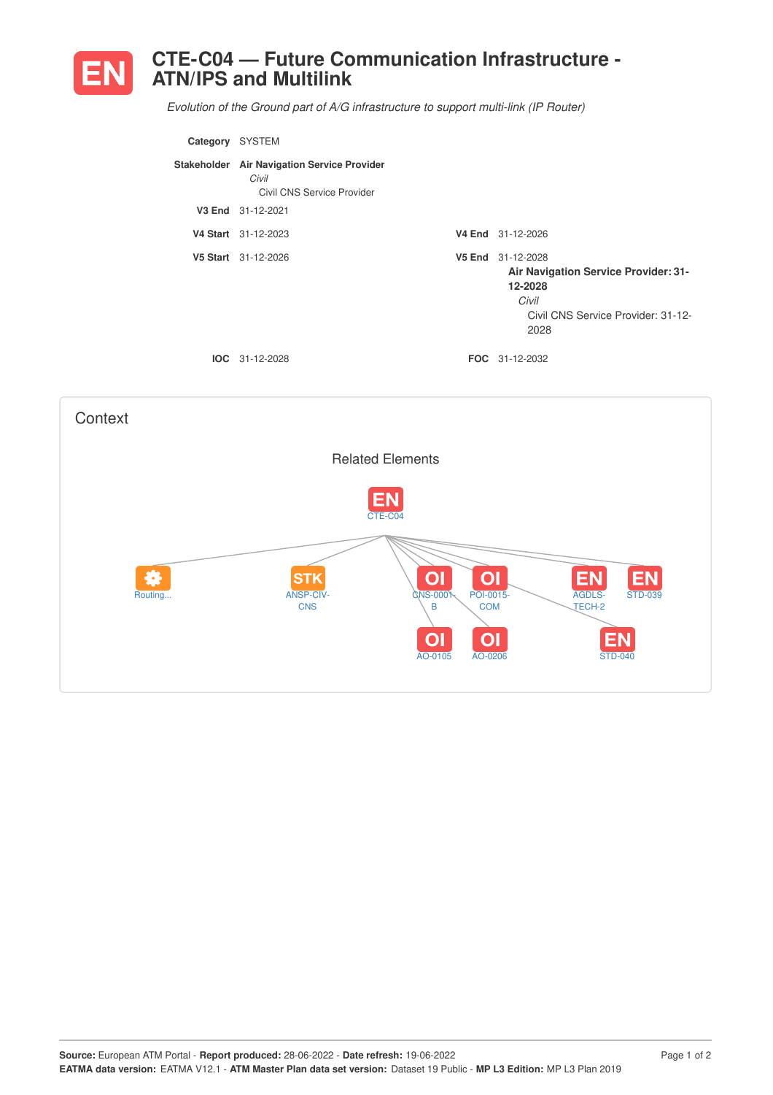

## **CTE-C04 — Future Communication Infrastructure - ATN/IPS and Multilink**

*Evolution of the Ground part of A/G infrastructure to support multi-link (IP Router)*

| Category | <b>SYSTEM</b>                                                                      |                                                                                                                                    |
|----------|------------------------------------------------------------------------------------|------------------------------------------------------------------------------------------------------------------------------------|
|          | Stakeholder Air Navigation Service Provider<br>Civil<br>Civil CNS Service Provider |                                                                                                                                    |
| V3 End   | 31-12-2021                                                                         |                                                                                                                                    |
|          | V4 Start 31-12-2023                                                                | V4 End 31-12-2026                                                                                                                  |
|          | V5 Start 31-12-2026                                                                | V5 End 31-12-2028<br><b>Air Navigation Service Provider: 31-</b><br>12-2028<br>Civil<br>Civil CNS Service Provider: 31-12-<br>2028 |
|          | $IOC 31-12-2028$                                                                   | <b>FOC</b> 31-12-2032                                                                                                              |